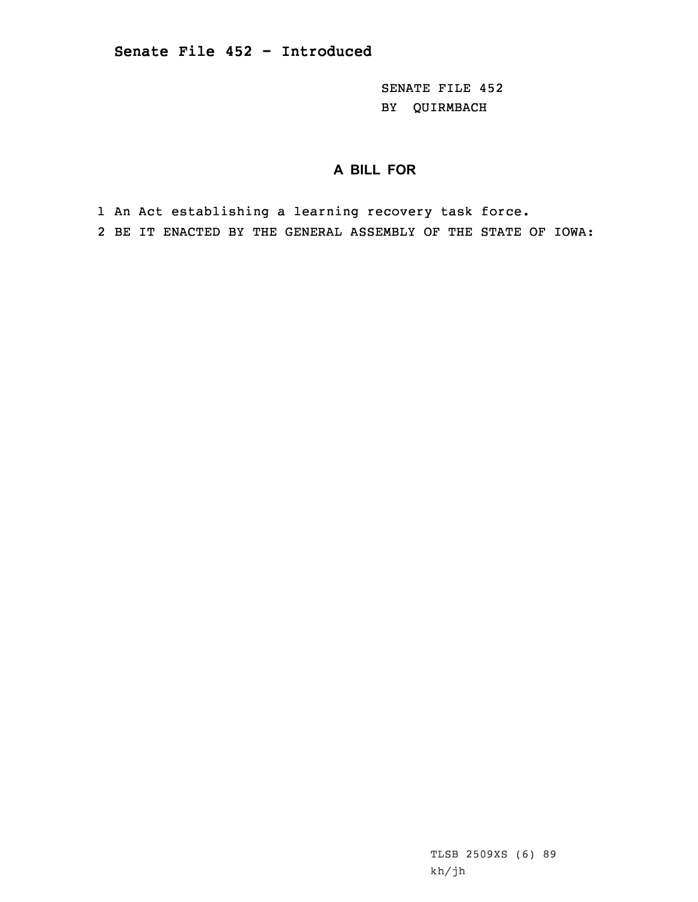SENATE FILE 452 BY QUIRMBACH

## **A BILL FOR**

1 An Act establishing <sup>a</sup> learning recovery task force.

2 BE IT ENACTED BY THE GENERAL ASSEMBLY OF THE STATE OF IOWA: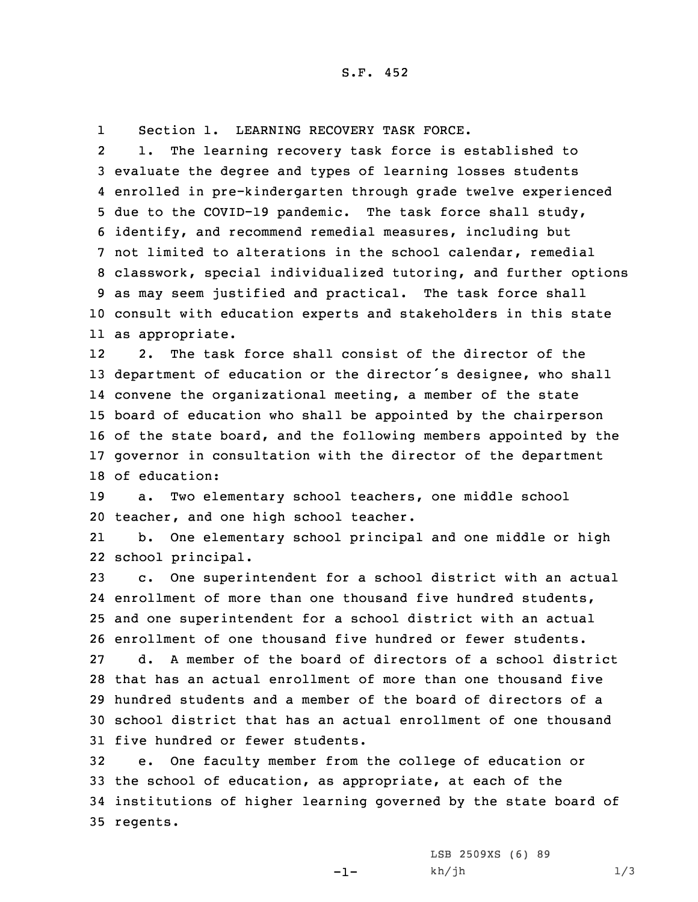1Section 1. LEARNING RECOVERY TASK FORCE.

2 1. The learning recovery task force is established to evaluate the degree and types of learning losses students enrolled in pre-kindergarten through grade twelve experienced due to the COVID-19 pandemic. The task force shall study, identify, and recommend remedial measures, including but not limited to alterations in the school calendar, remedial classwork, special individualized tutoring, and further options as may seem justified and practical. The task force shall consult with education experts and stakeholders in this state as appropriate.

12 2. The task force shall consist of the director of the department of education or the director's designee, who shall convene the organizational meeting, <sup>a</sup> member of the state board of education who shall be appointed by the chairperson of the state board, and the following members appointed by the governor in consultation with the director of the department of education:

19 a. Two elementary school teachers, one middle school 20 teacher, and one high school teacher.

21 b. One elementary school principal and one middle or high 22 school principal.

 c. One superintendent for <sup>a</sup> school district with an actual enrollment of more than one thousand five hundred students, and one superintendent for <sup>a</sup> school district with an actual enrollment of one thousand five hundred or fewer students. d. A member of the board of directors of <sup>a</sup> school district that has an actual enrollment of more than one thousand five hundred students and <sup>a</sup> member of the board of directors of <sup>a</sup> school district that has an actual enrollment of one thousand five hundred or fewer students.

 e. One faculty member from the college of education or the school of education, as appropriate, at each of the institutions of higher learning governed by the state board of 35 regents.

-1-

LSB 2509XS (6) 89  $kh/jh$  1/3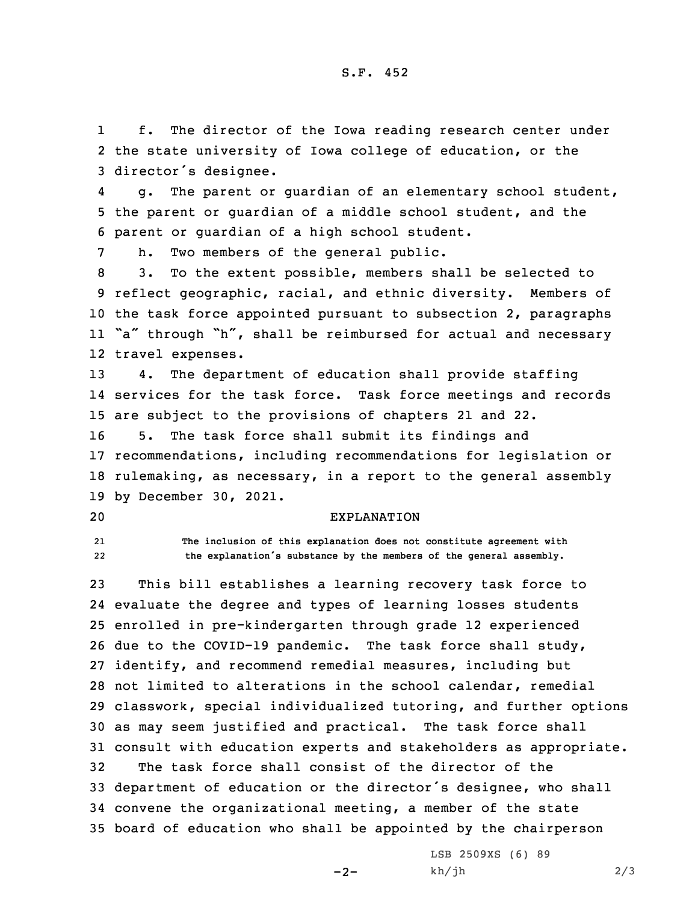1 f. The director of the Iowa reading research center under 2 the state university of Iowa college of education, or the <sup>3</sup> director's designee.

4 g. The parent or guardian of an elementary school student, 5 the parent or guardian of <sup>a</sup> middle school student, and the 6 parent or guardian of <sup>a</sup> high school student.

7 h. Two members of the general public.

 3. To the extent possible, members shall be selected to reflect geographic, racial, and ethnic diversity. Members of the task force appointed pursuant to subsection 2, paragraphs "a" through "h", shall be reimbursed for actual and necessary travel expenses.

13 4. The department of education shall provide staffing 14 services for the task force. Task force meetings and records 15 are subject to the provisions of chapters 21 and 22.

 5. The task force shall submit its findings and recommendations, including recommendations for legislation or rulemaking, as necessary, in <sup>a</sup> report to the general assembly by December 30, 2021.

## 20 EXPLANATION

21 **The inclusion of this explanation does not constitute agreement with** 22**the explanation's substance by the members of the general assembly.**

 This bill establishes <sup>a</sup> learning recovery task force to evaluate the degree and types of learning losses students enrolled in pre-kindergarten through grade 12 experienced due to the COVID-19 pandemic. The task force shall study, identify, and recommend remedial measures, including but not limited to alterations in the school calendar, remedial classwork, special individualized tutoring, and further options as may seem justified and practical. The task force shall consult with education experts and stakeholders as appropriate. The task force shall consist of the director of the department of education or the director's designee, who shall convene the organizational meeting, <sup>a</sup> member of the state board of education who shall be appointed by the chairperson

 $-2-$ 

LSB 2509XS (6) 89  $kh/jh$  2/3